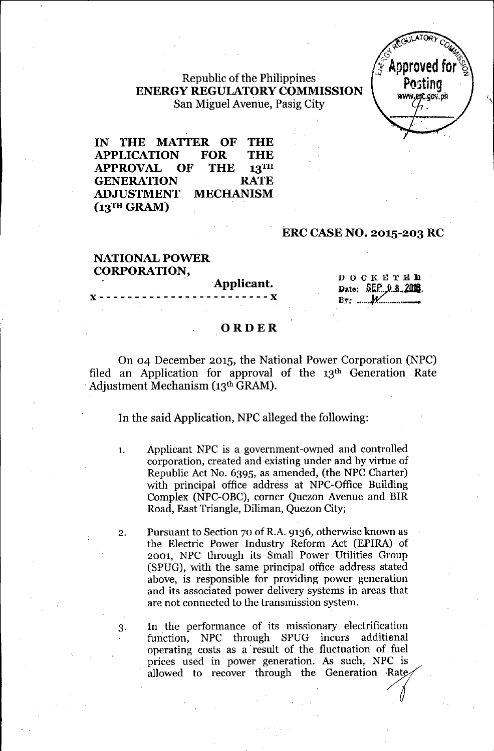# Republic of the Philippines **ENERGY REGULATORY COMMISSION**  $S$ an Miguel Avenue, Pasig City  $\left\{ \begin{array}{c} \text{www.erg. go, ph} \\ \text{m} \end{array} \right\}$



**IN THE MATTER OF THE APPLICATION FOR THE APPROVAL OF THE 13TH GENERATION RATE ADJUSTMENT MECHANISM** (13TH GRAM)

#### **ERC CASE NO. 2015-203 RC**

#### **NATIONAL POWER CORPORATION,**

Applicant.<br>

DOCKETER Date: SEP 0 8 2018  $By: \t M$ 

#### **ORDER**

On 04 December 2015, the National Power Corporation (NPC) filed an Application for approval of the  $13<sup>th</sup>$  Generation Rate .Adjustment Mechanism (13th GRAM).

In the said Application, NPC alleged the following:

1. Applicant NPC is a government-owned and controlled corporation, created and existing under and by virtue of Republic Act No. 6395, as amended, (the NPC Charter) with principal office address at NPC-Office Building Complex (NPC-OBC), corner Quezon Avenue and BIR Road, East Triangle, Diliman, Quezon City;

2. Pursuant to Section 70 of R.A. 9136, otherwise known as the Electric Power Industry Reform Act (EPIRA) of 2001, NPC through its Small Power Utilities Group (SPUG), with the same principal office address stated above, is responsible for providing power generation and its associated power delivery systems in areas that are not connected to the transmission system.

3. In the performance of its missionary electrification function, NPC through SPUG incurs additional operating costs as a' result of the fluctuation of fuel prices used in power generation. As such, NPC is allowed to recover through the Generation Rate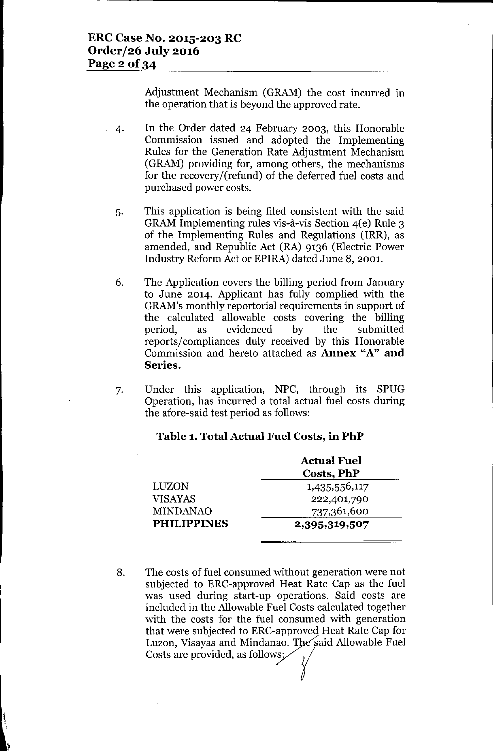Adjustment Mechanism (GRAM) the cost incurred in the operation that is beyond the approved rate.

- 4. In the Order dated 24 February 2003, this Honorable Commission issued and adopted the Implementing Rules for the Generation Rate Adjustment Mechanism (GRAM) providing for, among others, the mechanisms for the recovery/(refund) of the deferred fuel costs and purchased power costs.
- 5. This application is being filed consistent with the said GRAM Implementing rules vis-a-vis Section 4(e) Rule 3 of the Implementing Rules and Regulations (IRR), as amended, and Republic Act (RA) 9136 (Electric Power Industry Reform Act or EPIRA) dated June 8, 2001.
- 6. The Application covers the billing period from January to June 2014. Applicant has fully complied with the GRAM's monthly reportorial requirements in support of the calculated allowable costs covering the billing period, as evidenced by the submitted reports/compliances duly received by this Honorable Commission and hereto attached as **Annex** "A" **and Series.**
- 7. Under this application, NPC, through its SPUG Operation, has incurred a total actual fuel costs during the afore-said test period as follows:

#### **Table 1. Total Actual Fuel Costs, in PhP**

|                    | <b>Actual Fuel</b><br>Costs, PhP |  |
|--------------------|----------------------------------|--|
| <b>LUZON</b>       | 1,435,556,117                    |  |
| <b>VISAYAS</b>     | 222,401,790                      |  |
| <b>MINDANAO</b>    | 737,361,600                      |  |
| <b>PHILIPPINES</b> | 2,395,319,507                    |  |

8. The costs of fuel consumed without generation were not subjected to ERC-approved Heat Rate Cap as the fuel was used during start-up operations. Said costs are included in the Allowable Fuel Costs calculated together with the costs for the fuel consumed with generation that were subjected to ERC-approved Heat Rate Cap for Luzon, Visayas and Mindanao. The said Allowable Fuel<br>Costs are provided, as follows:

1,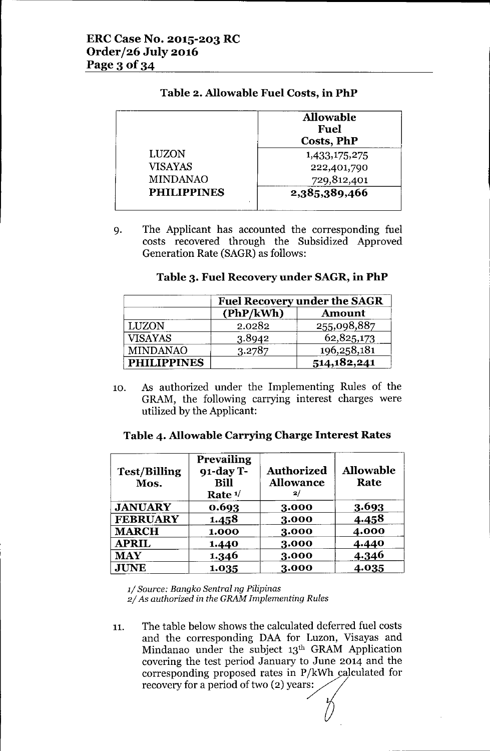|                    | <b>Allowable</b><br><b>Fuel</b><br><b>Costs, PhP</b> |
|--------------------|------------------------------------------------------|
| LUZON              | 1,433,175,275                                        |
| <b>VISAYAS</b>     | 222,401,790                                          |
| <b>MINDANAO</b>    | 729,812,401                                          |
| <b>PHILIPPINES</b> | 2,385,389,466                                        |

# **Table 2. Allowable Fuel Costs, in PhP**

9. The Applicant has accounted the corresponding fuel costs recovered through the Subsidized Approved Generation Rate (SAGR) as follows:

## **Table 3. Fuel Recovery under SAGR, in PhP**

|                    | <b>Fuel Recovery under the SAGR</b> |               |
|--------------------|-------------------------------------|---------------|
|                    | (PhP/kWh)                           | <b>Amount</b> |
| <b>LUZON</b>       | 2.0282                              | 255,098,887   |
| <b>VISAYAS</b>     | 3.8942                              | 62,825,173    |
| <b>MINDANAO</b>    | 3.2787                              | 196,258,181   |
| <b>PHILIPPINES</b> |                                     | 514,182,241   |

10. As authorized under the Implementing Rules of the GRAM, the following carrying interest charges were utilized by the Applicant:

| Table 4. Allowable Carrying Charge Interest Rates |  |  |
|---------------------------------------------------|--|--|
|---------------------------------------------------|--|--|

| <b>Test/Billing</b><br>Mos. | Prevailing<br>91-day T-<br><b>Bill</b><br>Rate $1/$ | <b>Authorized</b><br><b>Allowance</b><br>2/ | <b>Allowable</b><br>Rate |
|-----------------------------|-----------------------------------------------------|---------------------------------------------|--------------------------|
| <b>JANUARY</b>              | 0.693                                               | 3.000                                       | 3.693                    |
| <b>FEBRUARY</b>             | 1.458                                               | 3.000                                       | 4.458                    |
| <b>MARCH</b>                | 1.000                                               | 3.000                                       | 4.000                    |
| <b>APRIL</b>                | 1.440                                               | 3.000                                       | 4.440                    |
| <b>MAY</b>                  | 1.346                                               | 3.000                                       | 4.346                    |
| <b>JUNE</b>                 | 1.035                                               | 3.000                                       | 4.035                    |

*1/ Source: Bangko Sentral ng Filipinas 2/ As authorized in the GRAM Implementing Rules*

11. The table below shows the calculated deferred fuel costs and the corresponding DAA for Luzon, Visayas and Mindanao under the subject 13th GRAM Application covering the test period January to June 2014 and the corresponding proposed rates in  $P/kWh$  calculated for recovery for a period of two (2) years: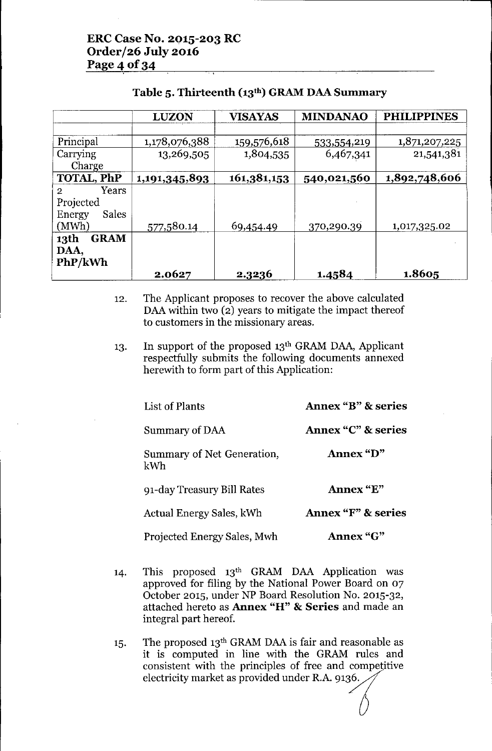|                        | <b>LUZON</b>  | <b>VISAYAS</b> | <b>MINDANAO</b> | <b>PHILIPPINES</b> |
|------------------------|---------------|----------------|-----------------|--------------------|
|                        |               |                |                 |                    |
| Principal              | 1,178,076,388 | 159,576,618    | 533,554,219     | 1,871,207,225      |
| Carrying               | 13,269,505    | 1,804,535      | 6,467,341       | 21,541,381         |
| Charge                 |               |                |                 |                    |
| <b>TOTAL, PhP</b>      | 1,191,345,893 | 161,381,153    | 540,021,560     | 1,892,748,606      |
| Years<br>2             |               |                |                 |                    |
| Projected              |               |                |                 |                    |
| <b>Sales</b><br>Energy |               |                |                 |                    |
| (MWh)                  | 577,580.14    | 69,454.49      | 370,290.39      | 1,017,325.02       |
| <b>GRAM</b><br>13th    |               |                |                 |                    |
| DAA,                   |               |                |                 |                    |
| PhP/kWh                |               |                |                 |                    |
|                        | 2.0627        | 2.3236         | 1.4584          | 1.8605             |

## Table 5. Thirteenth (13<sup>th</sup>) GRAM DAA Summary

- 12. The Applicant proposes to recover the above calculated DAA within two (2) years to mitigate the impact thereof to customers in the missionary areas.
- 13. In support of the proposed 13<sup>th</sup> GRAM DAA, Applicant respectfully submits the following documents annexed herewith to form part of this Application:

| List of Plants                    | <b>Annex "B" &amp; series</b> |
|-----------------------------------|-------------------------------|
| Summary of DAA                    | Annex "C" & series            |
| Summary of Net Generation,<br>kWh | Annex "D"                     |
| 91-day Treasury Bill Rates        | Annex "E"                     |
| Actual Energy Sales, kWh          | <b>Annex "F" &amp; series</b> |
| Projected Energy Sales, Mwh       | Annex "G"                     |

- 14. This proposed 13th GRAM DAA Application was approved for filing by the National Power Board on 07 October 2015, under NP Board Resolution No. 2015-32, attached hereto as Annex "H" & Series and made an integral part hereof.
- 15. The proposed 13th GRAM DAAis fair and reasonable as it is computed in line with the GRAM rules and consistent with the principles of free and competitive electricity market as provided under R.A. 9136.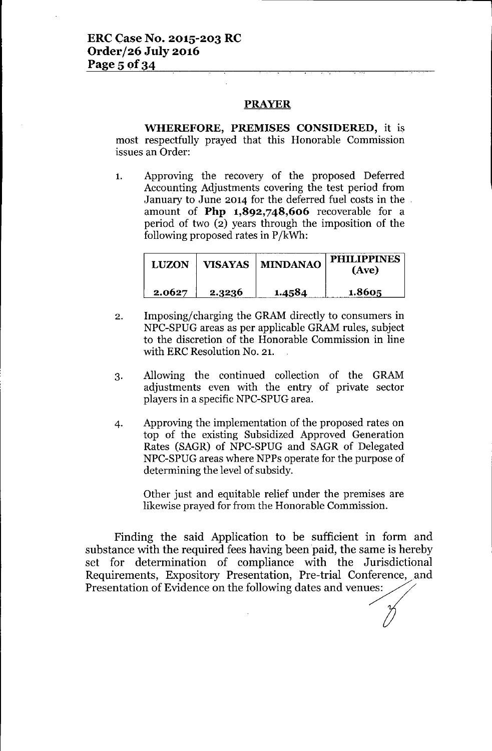#### PRAYER

WHEREFORE, PREMISES CONSIDERED, it is most respectfully prayed that this Honorable Commission issues an Order:

1. Approving the recovery of the proposed Deferred Accounting Adjustments covering the test period from January to June 2014 for the deferred fuel costs in the amount of Php 1,892,748,606 recoverable for a period of two (2) years through the imposition of the following proposed rates in P/kWh:

| <b>LUZON</b> |        | VISAYAS   MINDANAO | <b>PHILIPPINES</b><br>(Ave) |
|--------------|--------|--------------------|-----------------------------|
| 2.0627       | 2.3236 | 1.4584             | 1.8605                      |

- 2. Imposing/charging the GRAM directly to consumers in NPC-SPUG areas as per applicable GRAMrules, subject to the discretion of the Honorable Commission in line with ERC Resolution No. 21.
- 3. Allowing the continued collection of the GRAM adjustments even with the entry of private sector players in a specific NPC-SPUG area.
- 4. Approving the implementation of the proposed rates on top of the existing Subsidized Approved Generation Rates (SAGR) of NPC-SPUG and SAGR of Delegated NPC-SPUG areas where NPPs operate for the purpose of determining the level of subsidy.

Other just and equitable relief under the premises are likewise prayed for from the Honorable Commission.

Finding the said Application to be sufficient in form and substance with the required fees having been paid, the same is hereby set for determination of compliance with the Jurisdictional Requirements, Expository Presentation, Pre-trial Conference, and Presentation of Evidence on the following dates and venues: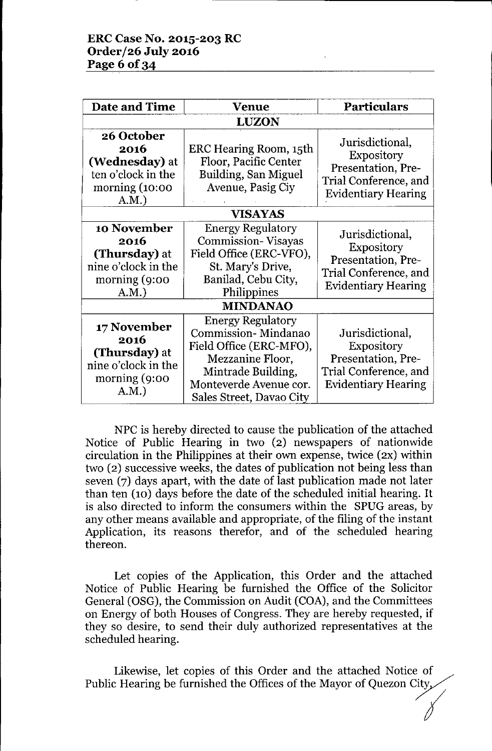| Date and Time                                                                                   | Venue                                                                                                                                                                      | <b>Particulars</b>                                                                                                |  |  |
|-------------------------------------------------------------------------------------------------|----------------------------------------------------------------------------------------------------------------------------------------------------------------------------|-------------------------------------------------------------------------------------------------------------------|--|--|
| <b>LUZON</b>                                                                                    |                                                                                                                                                                            |                                                                                                                   |  |  |
| 26 October<br>2016<br>(Wednesday) at<br>ten o'clock in the<br>morning $(10:00)$<br>A.M.         | ERC Hearing Room, 15th<br>Floor, Pacific Center<br>Building, San Miguel<br>Avenue, Pasig Ciy                                                                               | Jurisdictional,<br><b>Expository</b><br>Presentation, Pre-<br>Trial Conference, and<br><b>Evidentiary Hearing</b> |  |  |
| <b>VISAYAS</b>                                                                                  |                                                                                                                                                                            |                                                                                                                   |  |  |
| 10 November<br>2016<br>(Thursday) at<br>nine o'clock in the<br>morning $(9:00)$<br>A.M.         | <b>Energy Regulatory</b><br><b>Commission-Visayas</b><br>Field Office (ERC-VFO),<br>St. Mary's Drive,<br>Banilad, Cebu City,<br>Philippines<br><b>MINDANAO</b>             | Jurisdictional,<br><b>Expository</b><br>Presentation, Pre-<br>Trial Conference, and<br><b>Evidentiary Hearing</b> |  |  |
| 17 November<br>2016<br>(Thursday) at<br>nine o'clock in the<br>$\text{morning } (9:00)$<br>A.M. | <b>Energy Regulatory</b><br>Commission-Mindanao<br>Field Office (ERC-MFO),<br>Mezzanine Floor,<br>Mintrade Building,<br>Monteverde Avenue cor.<br>Sales Street, Davao City | Jurisdictional,<br><b>Expository</b><br>Presentation, Pre-<br>Trial Conference, and<br><b>Evidentiary Hearing</b> |  |  |

NPC is hereby directed to cause the publication of the attached Notice of Public Hearing in two (2) newspapers of nationwide circulation in the Philippines at their own expense, twice (2X) within two (2) successive weeks, the dates of publication not being less than seven (7) days apart, with the date of last publication made not later than ten (10) days before the date of the scheduled initial hearing. It is also directed to inform the consumers within the SPUG areas, by any other means available and appropriate, of the filing of the instant Application, its reasons therefor, and of the scheduled hearing thereon.

Let copies of the Application, this Order and the attached Notice of Public Hearing be furnished the Office of the Solicitor General (OSG), the Commission on Audit (COA), and the Committees on Energy of both Houses of Congress. They are hereby requested, if they so desire, to send their duly authorized representatives at the scheduled hearing.

Likewise, let copies of this Order and the attached Notice of Public Hearing be furnished the Offices of the Mayor of Quezon City, of<br>*I*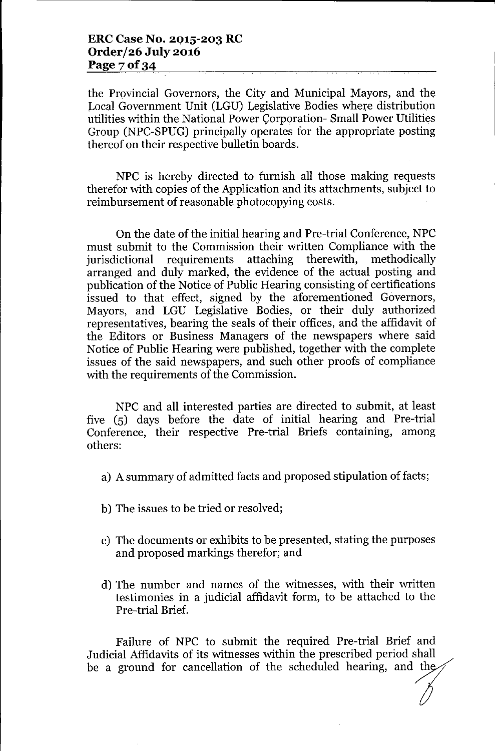the Provincial Governors, the City and Municipal Mayors, and the Local Government Unit (LGU) Legislative Bodies where distribution utilities within the National Power Corporation-Small Power Utilities Group (NPC-SPUG) principally operates for the appropriate posting thereof on their respective bulletin boards.

NPC is hereby directed to furnish all those making requests therefor with copies of the Application and its attachments, subject to reimbursement of reasonable photocopying costs.

On the date of the initial hearing and Pre-trial Conference, NPC must submit to the Commission their written Compliance with the jurisdictional requirements attaching therewith, methodically arranged and duly marked, the evidence of the actual posting and publication of the Notice of Public Hearing consisting of certifications issued to that effect, signed by the aforementioned Governors, Mayors, and LGU Legislative Bodies, or their duly authorized representatives, bearing the seals of their offices, and the affidavit of the Editors or Business Managers of the newspapers where said Notice of Public Hearing were published, together with the complete issues of the said newspapers, and such other proofs of compliance with the requirements of the Commission.

NPC and all interested parties are directed to submit, at least five (5) days before the date of initial hearing and Pre-trial Conference, their respective Pre-trial Briefs containing, among others:

- a) A summary of admitted facts and proposed stipulation of facts;
- b) The issues to be tried or resolved;
- c) The documents or exhibits to be presented, stating the purposes and proposed markings therefor; and
- d) The number and names of the witnesses, with their written testimonies in a judicial affidavit form, to be attached to the Pre-trial Brief.

Failure of NPC to submit the required Pre-trial Brief and Judicial Affidavits of its witnesses within the prescribed period shall be a ground for cancellation of the scheduled hearing, and the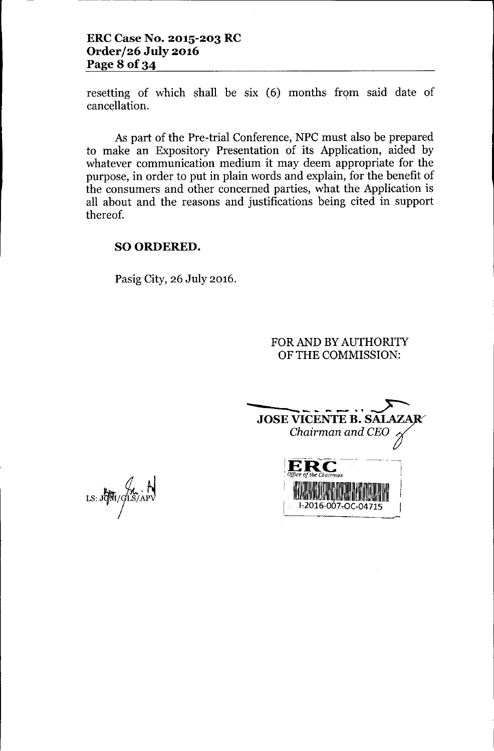# **ERC Case No. 2015-203 RC Order/26 July 2016 Page 8 of34**

resetting of which shall be six (6) months from said date of cancellation.

As part of the Pre-trial Conference, NPC must also be prepared to make an Expository Presentation of its Application, aided by whatever communication medium it may deem appropriate for the purpose, in order to put in plain words and explain, for the benefit of the consumers and other concerned parties, what the Application is all about and the reasons and justifications being cited in support thereof.

#### SOORDERED.

Pasig City, 26 July 2016.

## FOR AND BY AUTHORITY OF THE COMMISSION:

------~--**-** <sup>~</sup> JOSE VICENTE B. SALA *Chairman and CEO* ?  $\mathbf{ERC}$  ------*<i>Office* of the Chairman I. 11. II<sup>I</sup> 11. II**I** 11. III<sup>I</sup> 11. III<sup>I</sup> *1,2016,001,0(-04715* I

LS: JON / LS/APV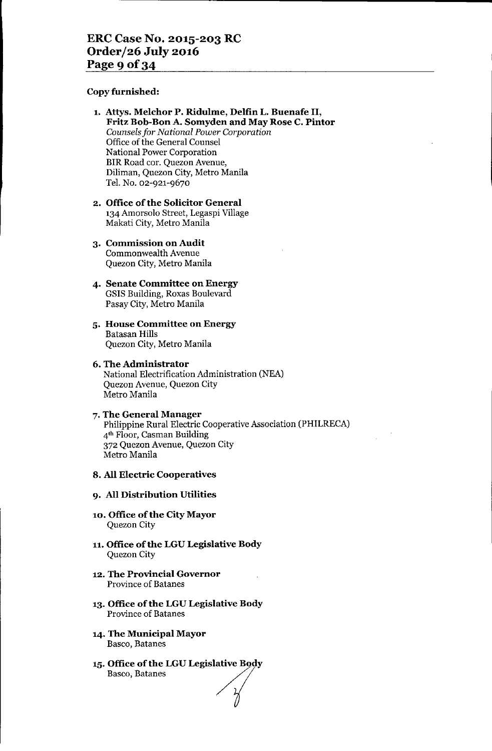#### Copy furnished:

- 1. Attys. Melchor P. Ridulme, Delfin L. Buenafe II, Fritz Bob-Bon A. Somyden and May Rose C. Pintor *Counsels for National Power Corporation* Office of the General Counsel National Power Corporation BIR Road cor. Quezon Avenue, Diliman, Quezon City, Metro Manila Tel. No. 02-921-9670
- 2. Office of the Solicitor General 134 Amorsolo Street, Legaspi Village Makati City, Metro Manila
- 3. Commission on Audit Commonwealth Avenue Quezon City, Metro Manila
- 4. Senate Committee on Energy GSIS Building, Roxas Boulevard Pasay City, Metro Manila
- 5. House Committee on Energy Batasan Hills Quezon City, Metro Manila
- 6. The Administrator National Electrification Administration (NEA) Quezon Avenue, Quezon City Metro Manila
- 7. The General Manager Philippine Rural Electric Cooperative Association (PHILRECA) 4th Floor, Casman Building 372 Quezon Avenue, Quezon City Metro Manila

#### 8. All Electric Cooperatives

#### 9. All Distribution Utilities

- 10. Office of the City Mayor Quezon City
- 11. Office of the LGU Legislative Body Quezon City
- 12. The Provincial Governor Province of Batanes
- 13. Office of the LGU Legislative Body Province of Batanes
- 14. The Municipal Mayor Basco, Batanes
- 15. Office of the LGU Legislative Body Basco, Batanes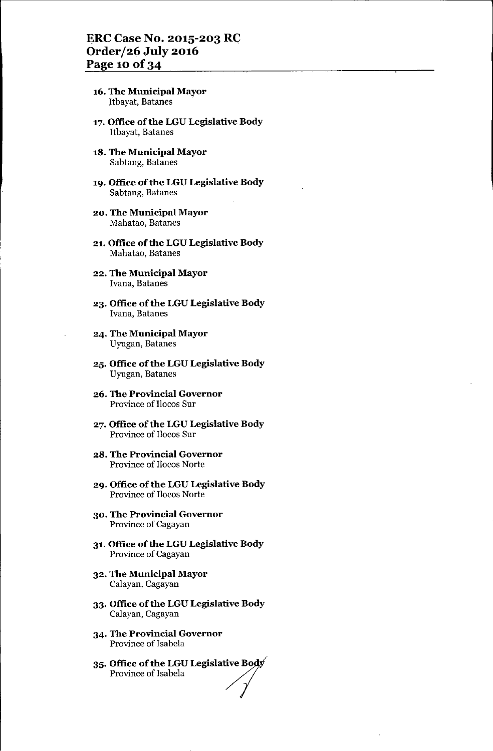#### ERC Case No. 2015-203 *RG* Order/26 July 2016 Page 10 of 34

- 16. The Municipal Mayor Itbayat, Batanes
- 17. Office of the LGU Legislative Body Itbayat, Batanes
- 18. The Municipal Mayor Sabtang, Batanes
- 19. Office of the LGU Legislative Body Sabtang, Batanes
- 20. The Municipal Mayor Mahatao, Batanes
- 21. Office of the LGU Legislative Body Mahatao, Batanes
- 22. The Municipal Mayor Ivana, Batanes
- 23. Office of the LGU Legislative Body Ivana, Batanes
- 24. The Municipal Mayor Uyugan, Batanes
- 25. Office of the LGU Legislative Body Uyugan, Batanes
- 26. The Provincial Governor Province of lIocos Sur
- 27. Office of the LGU Legislative Body Province of lIocos Sur
- 28. The Provincial Governor Province of lIocos Norte
- 29. Office of the LGU Legislative Body Province of lIocos Norte
- 30. The Provincial Governor Province of Cagayan
- 31. Office of the LGU Legislative Body Province of Cagayan
- 32. The Municipal Mayor Calayan, Cagayan
- 33. Office of the LGU Legislative Body Calayan, Cagayan
- 34. The Provincial Governor Province of Isabela
- $35.$  Office of the LGU Legislative  ${\tt B}$ Province of Isabela<br>**Office of the LGU Legislative Bo**<br>Province of Isabela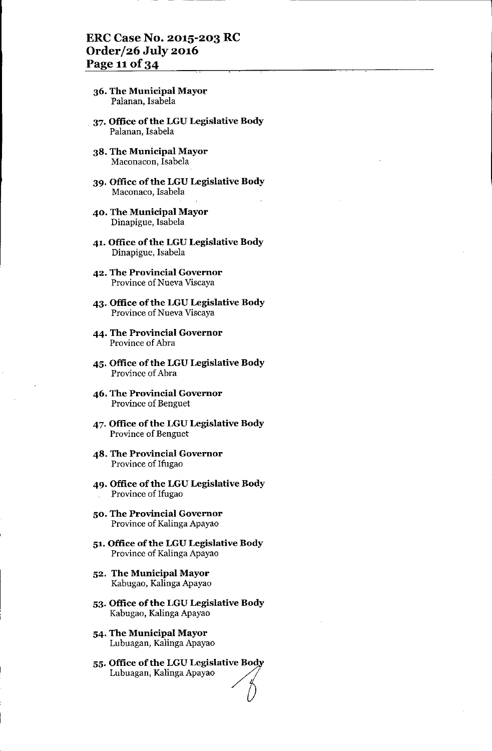- 36. The Municipal Mayor Palanan, Isabela
- 37. Office of the LGU Legislative Body Palanan, Isabela
- 38. The Municipal Mayor Maconacon, Isabela
- 39. Office of the LGU Legislative Body Maconaco, Isabela
- 40. The Municipal Mayor Dinapigue, Isabela
- 41. Office of the LGU Legislative Body Dinapigue, Isabela
- 42. The Provincial Governor Province of Nueva Viscaya
- 43. Office of the LGU Legislative Body Province of Nueva Viscaya
- 44. The Provincial Governor Province of Abra
- 45. Office of the LGU Legislative Body Province of Abra
- 46. The Provincial Governor Province of Benguet
- 47. Office of the LGU Legislative Body Province of Benguet
- 48. The Provincial Governor Province of Ifugao
- 49. Office of the LGU Legislative Body Province of Ifugao
- 50. The Provincial Governor Province of Kalinga Apayao
- 51. Office of the LGU Legislative Body Province of Kalinga Apayao
- 52. The Municipal Mayor Kabugao, Kalinga Apayao
- 53. Office of the LGU Legislative Body Kabugao, Kalinga Apayao
- 54. The Municipal Mayor Lubuagan, Kalinga Apayao
- 55. Office of the LGU Legislative Body Lubuagan, Kalinga Apayao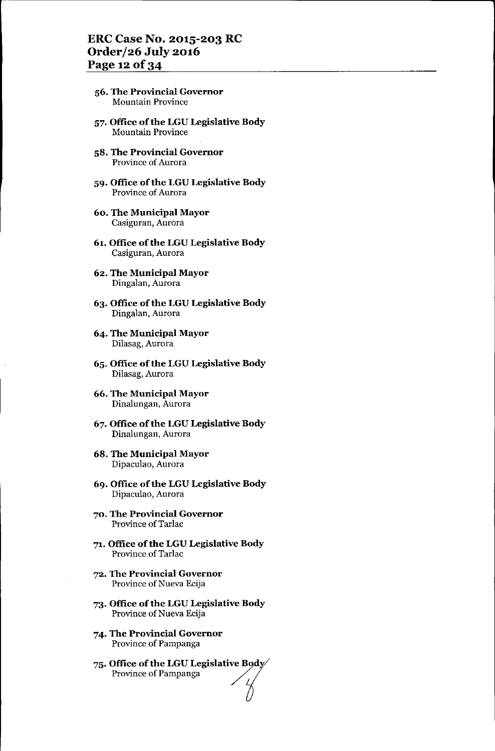## ERC Case No. 2015-203 RC Order/26 July 2016 Page 12 of 34

- 56. The Provincial Governor Mountain Province
- 57. Office of the LGU Legislative Body Mountain Province
- 58. The Provincial Governor Province of Aurora
- 59. Office of the LGU Legislative Body Province of Aurora
- 60. The Municipal Mayor Casiguran, Aurora
- 61. Office of the LGU Legislative Body Casiguran, Aurora
- 62. The Municipal Mayor Dingalan, Aurora
- 63. Office of the LGU Legislative Body Dingalan, Aurora
- 64. The Municipal Mayor Dilasag, Aurora
- 65. Office of the LGU Legislative Body Dilasag, Aurora
- 66. The Municipal Mayor Dinalungan, Aurora
- 67. Office of the LGU Legislative Body Dinalungan, Aurora
- 68. The Municipal Mayor Dipaculao, Aurora
- 69. Office of the LGU Legislative Body Dipaculao, Aurora
- 70. The Provincial Governor Province of Tarlac
- 71. Office of the LGU Legislative Body Province of Tarlac
- 72. The Provincial Governor Province of Nueva Ecija
- 73. Office of the LGU Legislative Body Province of Nueva Ecija
- 74. The Provincial Governor Province of Pampanga
- 75. Office of the LGU Legislative Body Province of Pampanga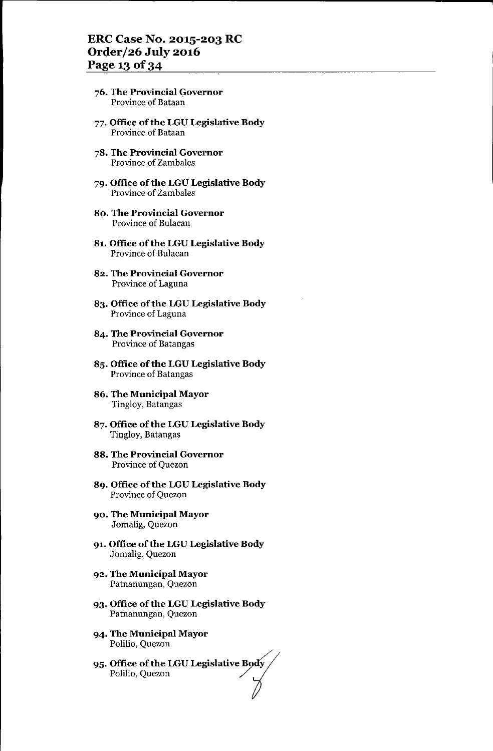- 76. The Provincial Qovernor Province of Bataan
- 77. Office of the LGU Legislative Body Province of Bataan
- 78. The Provincial Governor Province of Zambales
- 79. Office of the LGU Legislative Body Province of Zambales
- 80. The Provincial Governor Province of Bulacan
- 81. Office of the LGU Legislative Body Province of Bulacan
- 82. The Provincial Governor Province of Laguna
- 83. Office of the LGU Legislative Body Province of Laguna
- 84. The Provincial Governor Province of Batangas
- 85. Office of the LGU Legislative Body Province of Batangas
- 86. The Municipal Mayor Tingloy, Batangas
- 87. Office of the LGU Legislative Body Tingloy, Batangas
- 88. The Provincial Governor Province of Quezon
- 89. Office of the LGU Legislative Body Province of Quezon
- 90. The Municipal Mayor Jomalig, Quezon
- 91. Office of the LGU Legislative Body Jomalig, Quezon
- 92. The Municipal Mayor Patnanungan, Quezon
- 93. Office of the LGU Legislative Body Patnanungan, Quezon
- 94. The Municipal Mayor Polilio, Quezon
- 95. Office of the LGU Legislative Body Polilio, Quezon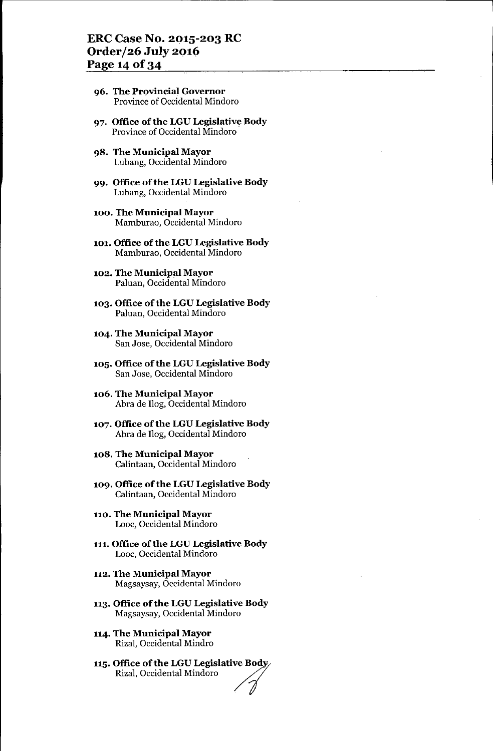#### ERC Case No. 2015-203 RC **Order/26 July 2016** Page 14 of 34

- 96. The Provincial Governor Province of Occidental Mindoro
- 97. Office of the LGU Legislative Body Province of Occidental Mindoro
- 98. The Municipal Mayor Lubang, Occidental Mindoro
- 99. Office of the LGU Legislative Body Lubang, Occidental Mindoro
- 100. The Municipal Mayor Mamburao, Occidental Mindoro
- 101. Office of the LGU Legislative Body Mamburao, Occidental Mindoro
- 102. The Municipal Mayor Paluan, Occidental Mindoro
- 103. Office of the LGU Legislative Body Paluan, Occidental Mindoro
- 104. The Municipal Mayor San Jose, Occidental Mindoro
- 105. Office of the LGU Legislative Body San Jose, Occidental Mindoro
- 106. The Municipal Mayor Abra de Ilog, Occidental Mindoro
- 107. Office of the LGU Legislative Body Abra de Ilog, Occidental Mindoro
- 108. The Municipal Mayor Calintaan, Occidental Mindoro
- 109. Office of the LGU Legislative Body Calintaan, Occidental Mindoro
- 110. The Municipal Mayor Looc, Occidental Mindoro
- 111. Office of the LGU Legislative Body Looc, Occidental Mindoro
- 112. The Municipal Mayor Magsaysay, Occidental Mindoro
- 113. Office ofthe LGU Legislative Body Magsaysay, Occidental Mindoro
- 114. The Municipal Mayor Rizal, Occidental Mindro
- 115. Office of the LGU Legislative Body **Diffice of the LGU Legislative Body**<br>Rizal, Occidental Mindoro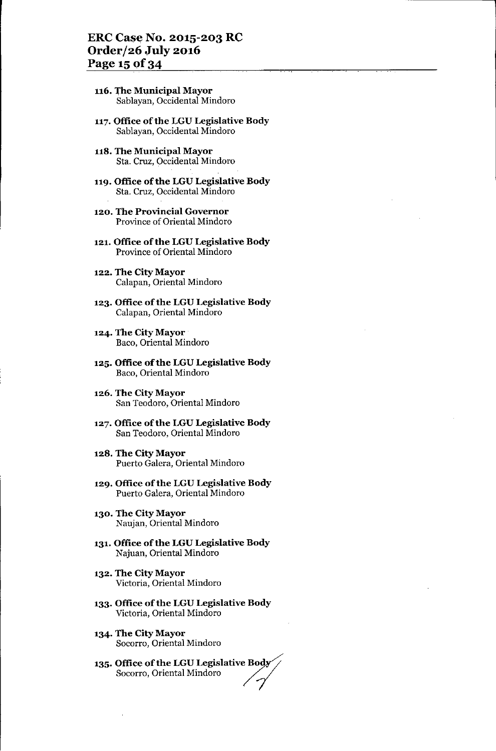#### ERC Case No. 2015-203 RC Order/26 **July** 2016 Page 15 of 34

- 116. The Municipal Mayor Sablayan, Occidental Mindoro
- 117.Office of the LGU Legislative Body Sablayan, Occidental Mindoro
- 118. The Municipal Mayor Sta. Cruz, Occidental Mindoro
- 119. Office of the LGU Legislative Body Sta. Cruz, Occidental Mindoro
- 120. The Provincial Governor Province of Oriental Mindoro
- 121. Office of the LGU Legislative Body Province of Oriental Mindoro
- 122. The City Mayor Calapan, Oriental Mindoro
- 123. Office of the LGU Legislative Body Calapan, Oriental Mindoro
- 124. The City Mayor Baco, Oriental Mindoro
- 125. Office of the LGU Legislative Body Baco, Oriental Mindoro
- 126. The City Mayor San Teodoro, Oriental Mindoro
- 127. Office of the LGU Legislative Body San Teodoro, Oriental Mindoro
- 128. The City Mayor Puerto Galera, Oriental Mindoro
- 129. Office of the LGU Legislative Body Puerto Galera, Oriental Mindoro
- 130. The City Mayor Naujan, Oriental Mindoro
- 131. Office of the LGU Legislative Body Najuan, Oriental Mindoro
- 132. The City Mayor Victoria, Oriental Mindoro
- 133. Office of the LGU Legislative Body Victoria, Oriental Mindoro
- 134. The City Mayor Socorro, Oriental Mindoro
- 135. Office of the LGU Legislative Body Socorro, Oriental Mindoro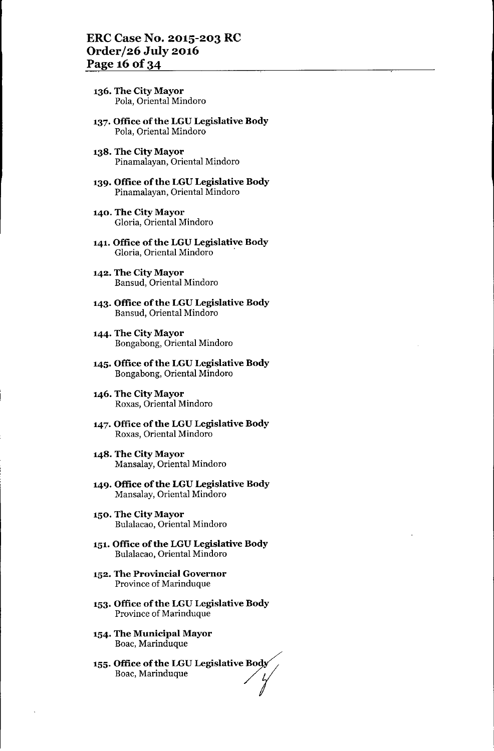- **136. The City Mayor** Pola, Oriental Mindoro
- **137. Office ofthe LGU Legislative Body** Pola, Oriental Mindoro
- **138. The City Mayor** Pinamalayan, Oriental Mindoro
- **139. Office** of the **LGU Legislative Body** Pinamalayan, Oriental Mindoro
- **140. The City Mayor** Gloria, Oriental Mindoro
- **141. Office of the LGU Legislative Body** Gloria, Oriental Mindoro
- **142. The City Mayor** Bansud, Oriental Mindoro
- **143. Office** of the **LGU Legislative Body** Bansud, Oriental Mindoro
- **144. The City Mayor** Bongabong, Oriental Mindoro
- **145. Office ofthe LGU Legislative Body** Bongabong, Oriental Mindoro
- **146. The City Mayor** Roxas, Oriental Mindoro
- **147. Office** of the **LGU Legislative Body** Roxas, Oriental Mindoro
- **148. The City Mayor** Mansalay, Oriental Mindoro
- **149. Office** of the **LGU Legislative Body** Mansalay, Oriental Mindoro
- **150. The City Mayor** Bulalacao, Oriental Mindoro
- **151. Office** of the **LGU Legislative Body** Bulalacao, Oriental Mindoro
- **152. The Provincial Governor** Province of Marinduque
- **153. Office ofthe LGU Legislative Body** Province of Marinduque
- **154. The Municipal Mayor** Boac, Marinduque
- **155. Office of the LGU Legislative Body**<br>Boac, Marinduque / /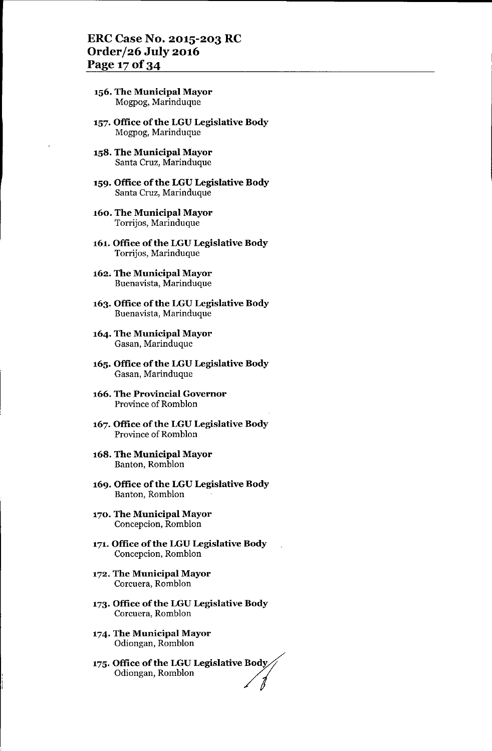- **156. The Municipal Mayor** Mogpog, Marinduque
- **157. Office** of the **LGU Legislative Body** Mogpog, Marinduque
- **158. The Municipal Mayor** Santa Cruz, Marinduque
- **159. Office ofthe LGU Legislative Body** Santa Cruz, Marinduque
- **160. The Municipal Mayor** Torrijos, Marinduque
- **161. Office ofthe LGU Legislative Body** Torrijos, Marinduque
- **162. The Municipal Mayor** Buenavista, Marinduque
- **163. Office ofthe LGU Legislative Body** Buenavista, Marinduque
- **164. The Municipal Mayor** Gasan, Marinduque
- **165. Office** of the **LGU Legislative Body** Gasan, Marinduque
- **166. The Provincial Governor** Province of Romblon
- **167. Office** of the **LGU Legislative Body** Province of Romblon
- **168. The Municipal Mayor** Banton, Romblon
- 169. Office of the LGU Legislative Body Banton, Romblon
- **170. The Municipal Mayor** Concepcion, Romblon
- **171. Office** of the **LGU Legislative Body** Concepcion, Romblon
- **172. The Municipal Mayor** Corcuera, Romblon
- **173. Office** of the **LGU Legislative Body** Corcuera, Romblon
- **174. The Municipal Mayor** Odiongan, Romblon
- **175. Office** of the **LGU Legislative BOdif** Office of the LGU Legislative Body<br>Odiongan, Romblon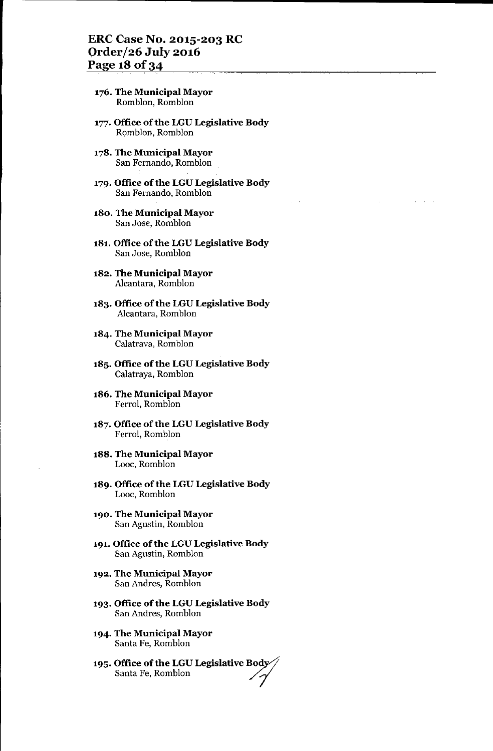- 176. The Municipal Mayor Romblon, Romblon
- 177. Office of the LGU Legislative Body Romblon, Romblon
- 178. The Municipal Mayor San Fernando, Romblon
- 179. Office of the LGU Legislative Body San Fernando, Romblon
- 180. The Municipal Mayor San Jose, Romblon
- 181. Office of the LGU Legislative Body San Jose, Romblon
- 182. The Municipal Mayor Alcantara, Romblon
- 183. Office of the LGU Legislative Body Alcantara, Romblon
- 184. The Municipal Mayor Calatrava, Romblon
- 185. Office of the LGU Legislative Body Calatraya, Romblon
- 186. The Municipal Mayor Ferrol, Romblon
- 187. Office of the LGU Legislative Body Ferrol, Romblon
- 188. The Municipal Mayor Looe, Romblon
- 189. Office of the LGU Legislative Body Looe, Romblon
- 190. The Municipal Mayor San Agustin, Romblon
- 191. Office of the LGU Legislative Body San Agustin, Romblon
- 192. The Municipal Mayor San Andres, Romblon
- 193. Office of the LGU Legislative Body San Andres, Romblon
- 194. The Municipal Mayor Santa Fe, Romblon
- 195. Office of the LGU Legislative Body O**ffice of the LGU Legislative Body**<br>Santa Fe, Romblon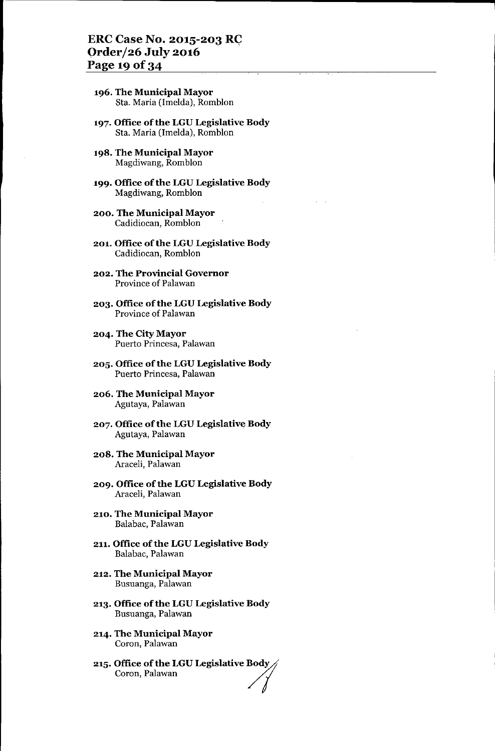- **196. The Municipal Mayor** Sta. Maria (Imelda), Romblon
- **197. Office** of the **LGU Legislative Body** Sta. Maria (Imelda), Romblon
- **198. The Municipal Mayor** Magdiwang, Romblon
- **199. Office** of the **LGU Legislative Body** Magdiwang, Romblon
- **200. The Municipal Mayor** Cadidioean, Romblon
- **201. Office of the LGU Legislative Body** Cadidioean, Romblon
- **202. The Provincial Governor** Province of Palawan
- **203. Office ofthe LGU Legislative Body** Province of Palawan
- **204. The City Mayor** Puerto Prineesa, Palawan
- **205. Office** of the **LGU Legislative Body** Puerto Princesa, Palawan
- **206. The Municipal Mayor** Agutaya, Palawan
- **207. Office** of the **LGU Legislative Body** Agutaya, Palawan
- **208. The Municipal Mayor** Araeeli, Palawan
- **209. Office ofthe LGU Legislative Body** Araeeli, Palawan
- **210. The Municipal Mayor** Balabae, Palawan
- **211. Office** of the **LGU Legislative Body** Balabac, Palawan
- **212. The Municipal Mayor** Busuanga, Palawan
- **213. Office** of the **LGU Legislative Body** Busuanga, Palawan
- **214. The Municipal Mayor** Coron, Palawan
- $\mathbf{215.}$  Office of the LGU Legislative Body Coron, Palawan<br>Office of the LGU Legislative Body<br>Coron, Palawan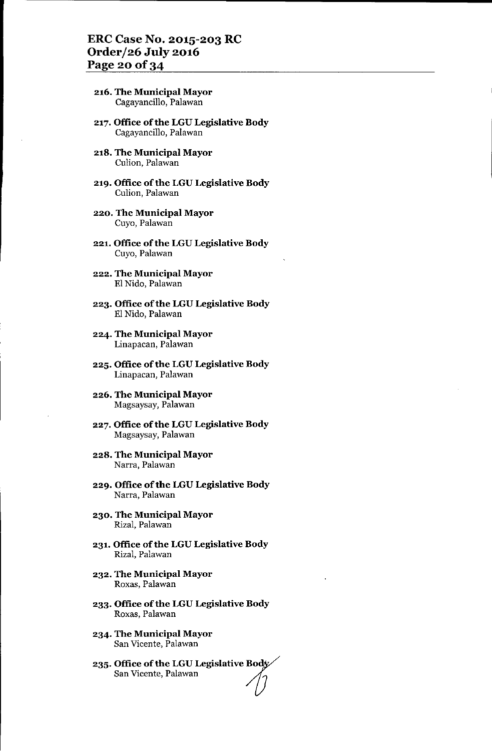#### ERC Case No. 2015-203 RC Order/26 July 2016 Page 20 of 34

- 216. The Municipal Mayor Cagayancillo, Palawan
- 217. Office of the LGU Legislative Body Cagayancillo, Palawan
- 218. The Municipal Mayor Culion, Palawan
- 219. Office of the LGU Legislative Body Culion, Palawan
- 220. The Municipal Mayor Cuyo, Palawan
- 221. Office of the LGU Legislative Body Cuyo, Palawan
- 222. The Municipal Mayor El Nido, Palawan
- 223. Office of the LGU Legislative Body El Nido, Palawan
- 224. The Municipal Mayor Linapacan, Palawan
- 225. Office of the LGU Legislative Body Linapacan, Palawan
- 226. The Municipal Mayor Magsaysay, Palawan
- 227. Office of the LGU Legislative Body Magsaysay, Palawan
- 228. The Municipal Mayor Narra, Palawan
- 229. Office of the LGU Legislative Body Narra, Palawan
- 230. The Municipal Mayor Rizal, Palawan
- 231. Office of the LGU Legislative Body Rizal, Palawan
- 232. The Municipal Mayor Roxas, Palawan
- 233. Office of the LGU Legislative Body Roxas, Palawan
- 234. The Municipal Mayor San Vicente, Palawan
- 235. Office of the LGU Legislative BOY San Vicente, Palawan */0*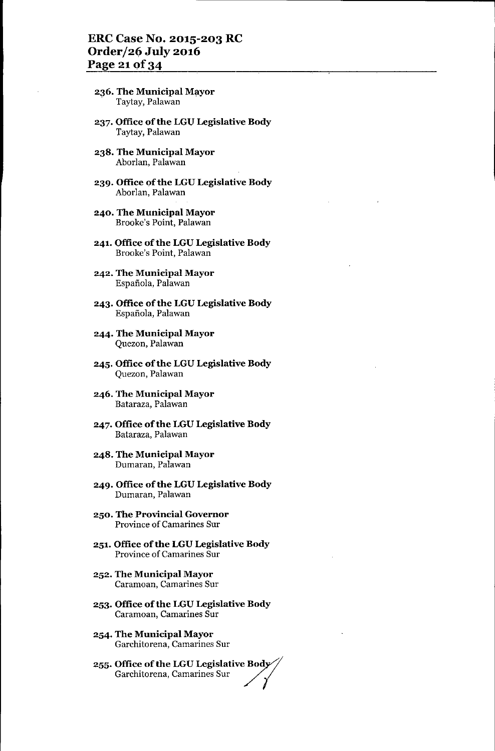- 236. The Municipal Mayor Taytay, Palawan
- 237. Office of the LGU Legislative Body Taytay, Palawan
- 238. The Municipal Mayor Aborlan, Palawan
- 239. Office of the LGU Legislative Body Aborlan, Palawan
- 240. The Municipal Mayor Brooke's Point, Palawan
- 241. Office of the LGU Legislative Body Brooke's Point, Palawan
- 242. The Municipal Mayor Espafiola, Palawan
- 243. Office of the LGU Legislative Body Espafiola, Palawan
- 244. The Municipal Mayor Quezon, Palawan
- 245. Office of the LGU Legislative Body Quezon, Palawan
- 246. The Municipal Mayor Bataraza, Palawan
- 247. Office of the LGU Legislative Body Bataraza, Palawan
- 248. The Municipal Mayor Dumaran, Palawan
- 249. Office of the LGU Legislative Body Dumaran, Palawan
- 250. The Provincial Governor Province of Camarines Sur
- 251. Office of the LGU Legislative Body Province of Camarines Sur
- 252. The Municipal Mayor Caramoan, Camarines Sur
- 253. Office of the LGU Legislative Body Caramoan, Camarines Sur
- 254. The Municipal Mayor Garchitorena, Camarines Sur
- 255. Office of the LGU Legislative Body<br>Garchitorena, Camarines Sur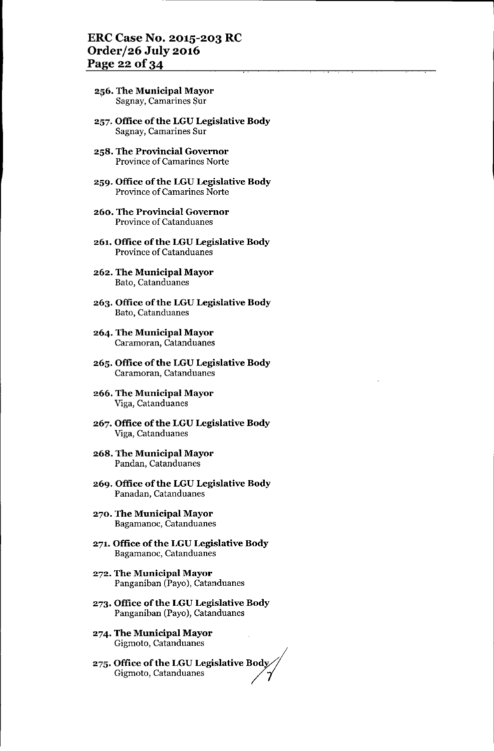- 256. The Municipal Mayor . Sagnay, Camarines Sur
- 257. Office of the LGU Legislative Body Sagnay, Camarines Sur
- 258. The Provincial Governor Province of Camarines Norte
- 259. Office of the LGU Legislative Body Province of Camarines Norte
- 260. The Provincial Governor Province of Catanduanes
- 261. Office of the LGU Legislative Body Province of Catanduanes
- 262. The Municipal Mayor Bato, Catanduanes
- 263. Office of the LGU Legislative Body Bato, Catanduanes
- 264. The Municipal Mayor Caramoran, Catanduanes
- 265. Office of the LGU Legislative Body Caramoran, Catanduanes
- 266. The Municipal Mayor Viga, Catanduanes
- 267. Office of the LGU Legislative Body Viga, Catanduanes
- 268. The Municipal Mayor Pandan, Catanduanes
- 269. Office of the LGU Legislative Body Panadan, Catanduanes
- 270. The Municipal Mayor Bagamanoc, Catanduanes
- 271. Office of the LGU Legislative Body Bagamanoc, Catanduanes
- 272. The Municipal Mayor Panganiban (Payo), Catanduanes
- 273. Office of the LGU Legislative Body Panganiban (Payo), Catanduanes
- 274. The Municipal Mayor Gigmoto, Catanduanes
- 275. Office of the LGU Legislative Body $\!\!\sqrt{ }$ Gigmoto, Catanduanes<br>**Office of the LGU Legislative Body<br>Gigmoto**, Catanduanes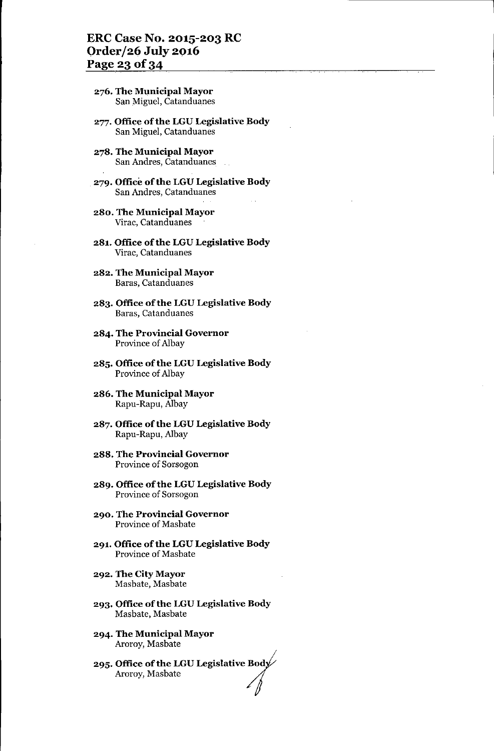#### ERC Case No. 2015-203 RC Order/26 July 2916 Page 23 of 34

- 276. The Municipal Mayor San Miguel, Catanduanes
- 277. Office of the LGU Legislative Body San Miguel, Catanduanes
- 278. The Municipal Mayor San Andres, Catanduanes
- 279. Office of the LGU Legislative Body San Andres, Catanduanes
- 280. The Municipal Mayor Virac, Catanduanes
- 281. Office of the LGU Legislative Body Virac, Catanduanes
- 282. The Municipal Mayor Baras, Catanduanes
- 283. Office of the LGU Legislative Body Baras, Catanduanes
- 284. The Provincial Governor Province of Albay
- 285. Office of the LGU Legislative Body Province of Albay
- 286. The Municipal Mayor Rapu-Rapu, Albay
- 287. Office of the LGU Legislative Body Rapu-Rapu, Albay
- 288. The Provincial Governor Province of Sorsogon
- 289. Office of the LGU Legislative Body Province of Sorsogon
- 290. The Provincial Governor Province of Masbate
- 291. Office of the LGU Legislative Body Province of Masbate
- 292. The City Mayor Masbate, Masbate
- 293. Office of the LGU Legislative Body Masbate, Masbate
- 294. The Municipal Mayor Aroroy, Masbate
- 295. Office of the LGU Legislative Bod<sub>)</sub> The Municipal Mayor<br>Aroroy, Masbate<br>Office of the LGU Legislative Body<br>Aroroy, Masbate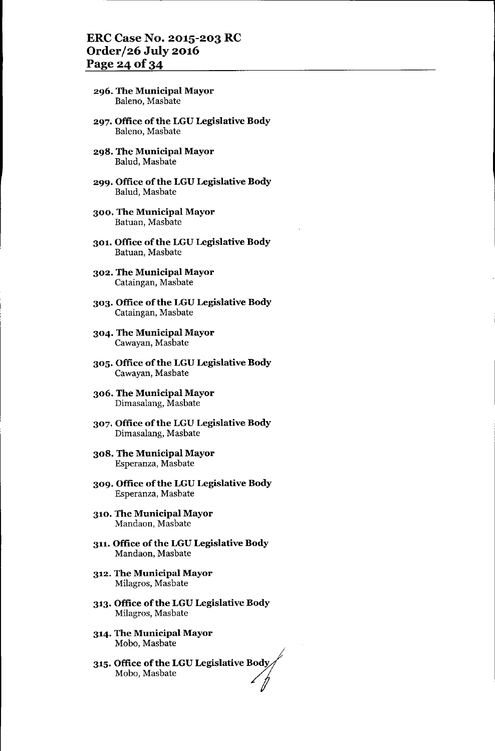#### ERC Case No. 2015-203 RC Order/26 July 2016 Page 24 of 34

- 296. The Municipal Mayor Baleno, Masbate
- 297. Office of the LGU Legislative Body Baleno, Masbate
- 298. The Municipal Mayor Balud, Masbate
- 299. Office of the LGU Legislative Body Balud, Masbate
- 300. The Municipal Mayor Batuan, Masbate
- 301. Office of the LGU Legislative Body Batuan, Masbate
- 302. The Municipal Mayor Cataingan, Masbate
- 303. Office of the LGU Legislative Body Cataingan, Masbate
- 304. The Municipal Mayor Cawayan, Masbate
- 305. Office of the LGU Legislative Body Cawayan, Masbate
- 306. The Municipal Mayor Dimasalang, Masbate
- 307. Office of the LGU Legislative Body Dimasalang, Masbate
- 308. The Municipal Mayor Esperanza, Masbate
- 309. Office of the LGU Legislative Body Esperanza, Masbate
- 310. The Municipal Mayor Mandaon, Masbate
- 311. Office of the LGU Legislative Body Mandaon, Masbate
- 312. The Municipal Mayor Milagros, Masbate
- 313. Office of the LGU Legislative Body Milagros, Masbate
- 314. The Municipal Mayor Mobo, Masbate
- 315. Office of the LGU Legislative BOd~ Mobo, Masbate */1*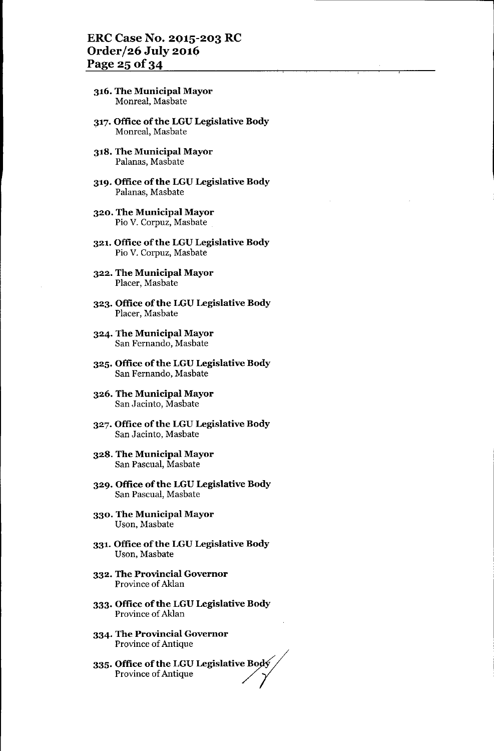- 316. The Municipal Mayor Monreal, Masbate
- 317. Office of the LGU Legislative Body <sup>&</sup>lt; Monreal, Masbate
- 318. The Municipal Mayor Palanas, Masbate
- 319. Office of the LGU Legislative Body Palanas, Masbate
- 320. The Municipal Mayor Pia V. Corpuz, Masbate
- 321. Office of the LGU Legislative Body Pia V. Corpuz, Masbate
- 322. The Municipal Mayor Placer, Masbate
- 323. Office of the LGU Legislative Body Placer, Masbate
- 324. The Municipal Mayor San Fernando, Masbate
- 325. Office of the LGU Legislative Body San Fernando, Masbate
- 326. The Municipal Mayor San Jacinto, Masbate
- 327. Office of the LGU Legislative Body San Jacinto, Masbate
- 328. The Municipal Mayor San Pascual, Masbate
- 329. Office of the LGU Legislative Body San Pascual, Masbate
- 330. The Municipal Mayor Uson, Masbate
- 331. Office of the LGU Legislative Body Uson, Masbate
- 332. The Provincial Governor Province of Aldan
- 333. Office of the LGU Legislative Body Province of Aldan
- 334. The Provincial Governor Province of Antique
- 335. Office of the LGU Legislative Bodý  $\!$ Office of the LGU Legislative Body<br>Province of Antique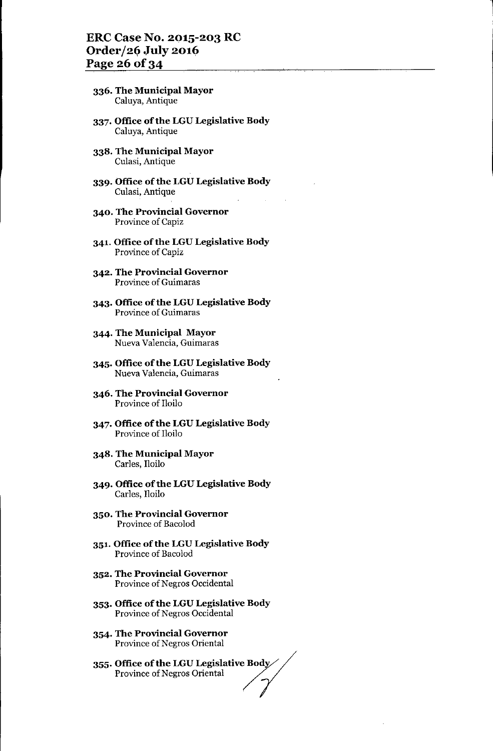#### ERC Case No. 2015-203 RC Order/26 July 2016 Page 26 of 34

- 336. The Municipal Mayor Caluya, Antique
- 337. Office of the LGU Legislative Body Caluya, Antique
- 338. The Municipal Mayor Culasi, Antique
- 339. Office of the LGU Legislative Body Culasi, Antique
- 340. The Provincial Governor Province of Capiz
- 341. Office of the LGU Legislative Body Province of Capiz
- 342. The Provincial Governor Province of Guimaras
- 343. Office of the LGU Legislative Body Province of Guimaras
- 344. The Municipal Mayor Nueva Valencia, Guimaras
- 345. Office of the LGU Legislative Body Nueva Valencia, Guimaras
- 346. The Provincial Governor Province of Iloilo
- 347. Office of the LGU Legislative Body Province of Iloilo
- 348. The Municipal Mayor Carles, Iloilo
- 349. Office of the LGU Legislative Body Carles, Iloilo
- 350. The Provincial Governor Province of Bacolod
- 351. Office of the LGU Legislative Body Province of Bacolod
- 352. The Provincial Governor Province of Negros Occidental
- 353. Office of the LGU Legislative Body Province of Negros Occidental
- 354. The Provincial Governor Province of Negros Oriental
- 355. Office of the LGU Legislative Body Province of Negros Oriental<br>**Office of the LGU Legislative Body**<br>Province of Negros Oriental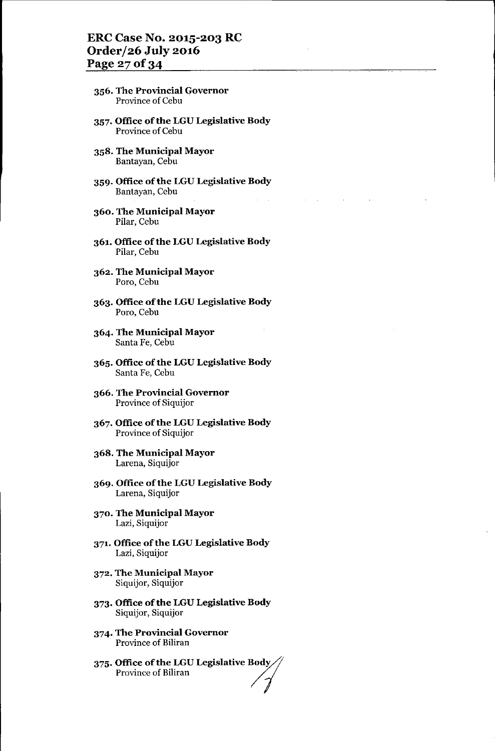## ERC Case No. 2015-203 RC Order/26 July 2016 Page 27 of 34

- 356. The Provincial Governor Province of Cebu
- 357. Office of the LGU Legislative Body Province of Cebu
- 358. The Municipal Mayor Bantayan, Cebu
- 359. Office of the LGU Legislative Body Bantayan, Cebu
- 360. The Municipal Mayor Pilar, Cebu
- 361. Office of the LGU Legislative Body Pilar, Cebu
- 362. The Municipal Mayor Poro, Cebu
- 363. Office of the LGU Legislative Body Poro, Cebu
- 364. The Municipal Mayor Santa Fe, Cebu
- 365. Office of the LGU Legislative Body Santa Fe, Cebu
- 366. The Provincial Governor Province of Siquijor
- 367. Office of the LGU Legislative Body Province of Siquijor
- 368. The Municipal Mayor Larena, Siquijor
- 369. Office of the LGU Legislative Body Larena, Siquijor
- 370. The Municipal Mayor Lazi, Siquijor
- 371. Office of the LGU Legislative Body Lazi, Siquijor
- 372. The Municipal Mayor Siquijor, Siquijor
- 373. Office of the LGU Legislative Body Siquijor, Siquijor
- 374. The Provincial Governor Province of Biliran
- 375. Office of the LGU Legislative Body Province of Biliran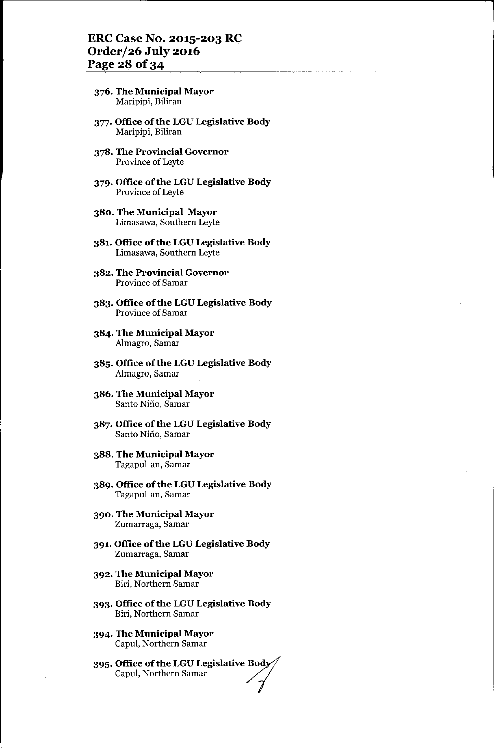#### ERC Case No. 2015-203 RC Order/26 July 2016 Page 28 of 34

- 376. The Municipal Mayor Maripipi, Biliran
- 377. Office of the LGU Legislative Body Maripipi, Biliran
- 378. The Provincial Governor Province of Leyte
- 379. Office of the LGU Legislative Body Province of Leyte
- 380. The Municipal Mayor Limasawa, Southern Leyte
- 381. Office of the LGU Legislative Body Limasawa, Southern Leyte
- 382. The Provincial Governor Province of Samar
- 383. Office of the LGU Legislative Body Province of Samar
- 384. The Municipal Mayor Almagro, Samar
- 385. Office of the LGU Legislative Body Almagro, Samar
- 386. The Municipal Mayor Santo Nifio, Samar
- 387. Office of the LGU Legislative Body Santo Nifio, Samar
- 388. The Municipal Mayor Tagapul-an, Samar
- 389. Office of the LGU Legislative Body Tagapul-an, Samar
- 390. The Municipal Mayor Zumarraga, Samar
- 391. Office of the LGU Legislative Body Zumarraga, Samar
- 392. The Municipal Mayor Biri, Northern Samar
- 393. Office of the LGU Legislative Body Biri, Northern Samar
- 394. The Municipal Mayor Capul, Northern Samar
- 395. Office of the LGU Legislative Bo Capul, Northern Samar<br>**Office of the LGU Legislative Body**<br>Capul, Northern Samar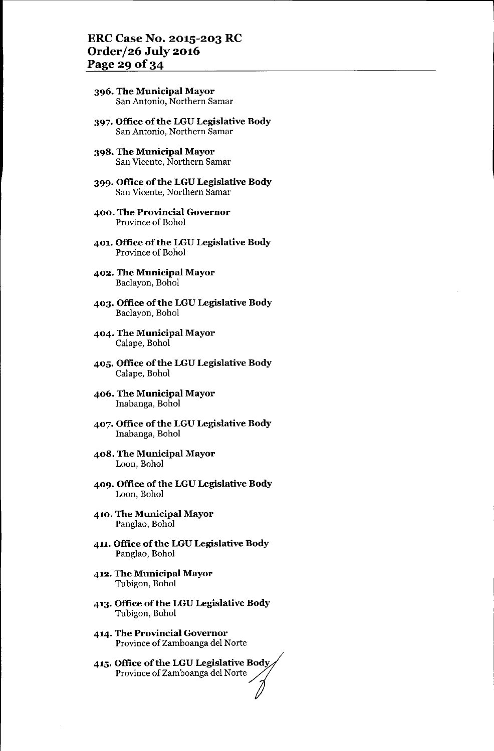- 396. The Municipal Mayor San Antonio, Northern Samar
- 397. Office of the LGU Legislative Body San Antonio, Northern Samar
- 398. The Municipal Mayor San Vicente, Northern Samar
- 399. Office of the LGU Legislative Body San Vicente, Northern Samar
- 400. The Provincial Governor Province of Bohol
- 401. Office of the LGU Legislative Body Province of Bohol
- 402. The Municipal Mayor Baclayon, Bohol
- 403. Office of the LGU Legislative Body Baclayon, Bohol
- 404. The Municipal Mayor Calape, Bohol
- 405. Office of the LGU Legislative Body Calape, Bohol
- 406. The Municipal Mayor lnabanga, Bohol
- 407. Office of the LGU Legislative Body lnabanga, Bohol
- 408. The Municipal Mayor Loon, Bohol
- 409. Office of the LGU Legislative Body Loon, Bohol
- 410. The Municipal Mayor Panglao, Bohol
- 411. Office of the LGU Legislative Body Panglao, Bohol
- 412. The Municipal Mayor Tubigon, Bohol
- 413. Office of the LGU Legislative Body Tubigon, Bohol
- 414. The Provincial Governor Province of Zamboanga del Norte
- 415. Office of the LGU Legislative Body<br>Province of Zamboanga del Norte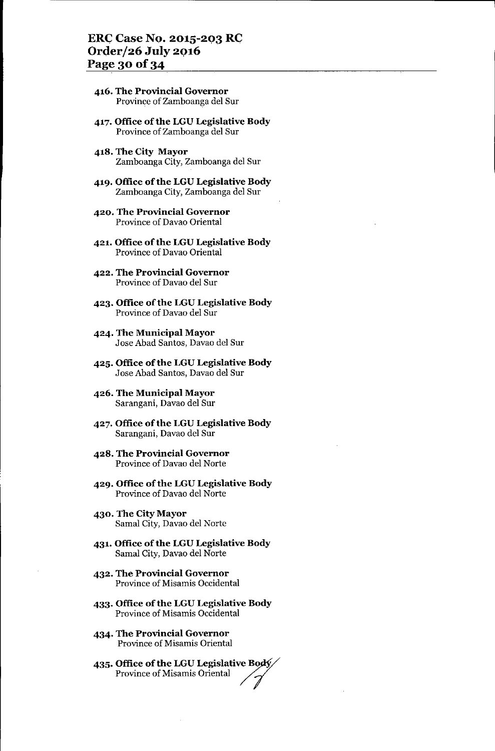#### **ERe Case No. 2015-2Q3 RC OrderJ26 July** *2Q16* Page 30 of 34

- **416. The Provincial Governor** Province of Zarnboanga del Sur
- **417. Office ofthe LGU Legislative Body** Province of Zamboanga del Sur
- **418. The City Mayor** Zamboanga City, Zamboanga del Sur
- **419. Office** of the **LGU Legislative Body** Zamboanga City, Zamboanga del Sur
- **420. The Provincial Governor** Province of Davao Oriental
- **421. Office** of the **LGU Legislative Body** Province of Davao Oriental
- **422. The Provincial Governor** Province of Davao del Sur
- **423. Office** of the **LGU Legislative Body** Province of Davao del Sur
- **424. The Municipal Mayor** Jose Abad Santos, Davao del Sur
- **425. Office** of the **LGU Legislative Body** Jose Abad Santos, Davao del Sur
- **426. The Municipal Mayor** Sarangani, Davao del Sur
- **427. Office** of the **LGU Legislative Body** Sarangani, Davao del Sur
- **428. The Provincial Governor** Province of Davao del Norte
- **429. Office** of the **LGU Legislative Body** Province of Davao del Norte
- **430. The City Mayor** Sarnal City, Davao del Norte
- **431. Office** of the **LGU Legislative Body** Sarnal City, Davao del Norte
- **432. The Provincial Governor** Province of Misamis Occidental
- **433. Office ofthe LGU Legislative Body** Province of Misarnis Occidental
- **434. The Provincial Governor** Province of Misamis Oriental
- **435. Office of the LGU Legislative B30/ Province of Misanne Oriental**<br>**Office of the LGU Legislative Body**<br>Province of Misamis Oriental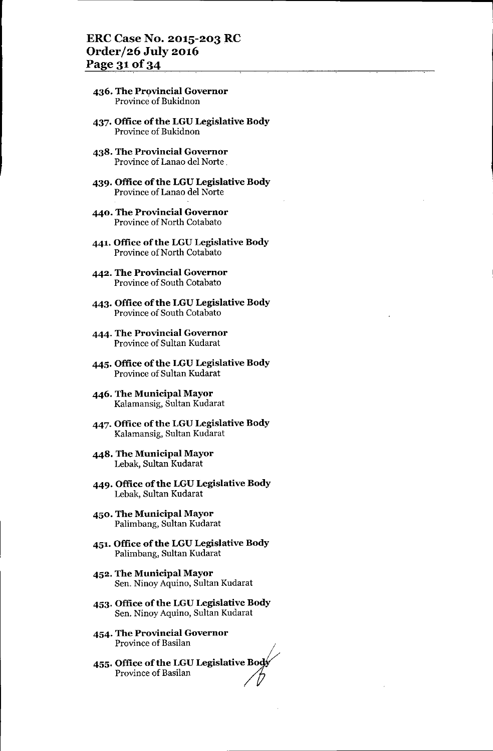#### **ERCCase No. 2015-203 RC Order/26 July 2016** Page 31 of 34

- **436. The Provincial Governor** Province of Bukidnon
- **437. Office ofthe LGU Legislative Body** Province of Bukidnon
- **438. The Provincial Governor** Province of Lanao del Norte.
- **439. Office ofthe LGU Legislative Body** Province of Lanao del Norte
- **440. The Provincial Governor** Province of North Cotabato
- **441. Office** of the **LGU Legislative Body** Province of North Cotabato
- **442. The Provincial Governor** Province of South Cotabato
- **443. Office ofthe LGU Legislative Body** Province of South Cotabato
- **444. The Provincial Governor** Province of Sultan Kudarat
- **445. Office** of the **LGU Legislative Body** Province of Sultan Kudarat
- **446. The Municipal Mayor** Kalamansig, Sultan Kudarat
- **447. Office ofthe LGU Legislative Body** Kalamansig, Sultan Kudarat
- **448. The Municipal Mayor** Lebak, Sultan Kudarat
- **449. Office ofthe LGU Legislative Body** Lebak, Sultan Kudarat
- **450. The Municipal Mayor** Palimbang, Sultan Kudarat
- **451. Office** of the **LGU Legislative Body** Palimbang, Sultan Kudarat
- **452. The Municipal Mayor** Sen. Ninoy Aquino, Sultan Kudarat
- **453. Office** of the **LGU Legislative Body** Sen. Ninoy Aquino, Sultan Kudarat
- **454. The Provincial Governor** Province of Basilan '
- **455. Office of the LGU Legislative Boo** Province of Basilan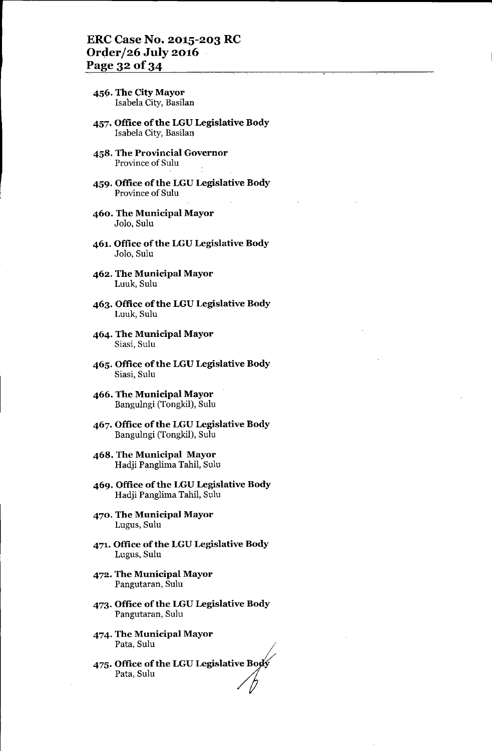- 456. The City Mayor Isabela City, Basilan
- 457. Office of the LGU Legislative Body Isabela City, Basilan
- 458. The Provincial Governor Province of Sulu
- 459. Office of the LGU Legislative Body Province of Sulu
- 460. The Municipal Mayor Jolo, Sulu
- 461. Office of the LGU Legislative Body Jolo, Sulu
- 462. The Municipal Mayor Luuk, Sulu
- 463. Office of the LGU Legislative Body Luuk, Sulu
- 464. The Municipal Mayor Siasi, Sulu
- 465. Office of the LGU Legislative Body Siasi, Sulu
- 466. The Municipal Mayor Bangulngi (Tongkil), Sulu
- 467. Office of the LGU Legislative Body Bangulngi (Tongkil), Sulu
- 468. The Municipal Mayor Hadji Panglima Tahil, Sulu
- 469. Office of the LGU Legislative Body Hadji Panglima Tahil, Sulu
- 470. The Municipal Mayor Lugus, Sulu
- 471. Office of the LGU Legislative Body Lugus, Sulu
- 472. The Municipal Mayor Pangutaran, Sulu
- 473. Office of the LGU Legislative Body Pangutaran, Sulu
- 474. The Municipal Mayor Pata, Sulu
- 475. Office of the LGU Legislative Bo Pata, Sulu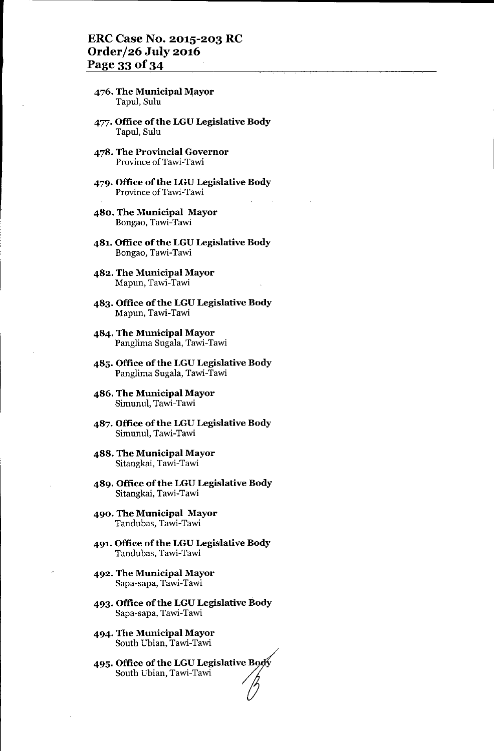# ERC Case No. 2015-203 RC Order/26 July 2016 Page 33 of 34

- 476. The Municipal Mayor Tapul, Sulu
- 477. Office of the LGU Legislative Body Tapul, Sulu
- 478. The Provincial Governor Province of Tawi-Tawi
- 479. Office of the LGU Legislative Body Province of Tawi-Tawi
- 480. The Municipal Mayor Bongao,Tawi-Tawi
- 481. Office of the LGU Legislative Body Bongao, Tawi-Tawi
- 482. The Municipal Mayor Mapun, Tawi-Tawi
- 483. Office of the LGU Legislative Body Mapun, Tawi-Tawi
- 484. The Municipal Mayor Panglima Sugala, Tawi-Tawi
- 485. Office of the LGU Legislative Body Panglima Sugala, Tawi-Tawi
- 486. The Municipal Mayor Simunul, Tawi-Tawi
- 487. Office of the LGU Legislative Body Simunul, Tawi-Tawi
- 488. The Municipal Mayor Sitangkai, Tawi-Tawi
- 489. Office of the LGU Legislative Body Sitangkai, Tawi-Tawi
- 490. The Municipal Mayor Tandubas, Tawi-Tawi
- 491, Office of the LGU Legislative Body Tandubas, Tawi-Tawi
- 492. The Municipal Mayor Sapa-sapa, Tawi-Tawi
- 493. Office of the LGU Legislative Body Sapa-sapa, Tawi-Tawi
- 494. The Municipal Mayor South Ubian, Tawi-Tawi
- 495. Office of the LGU Legislative Bo South Ubian, Tawi-Tawi